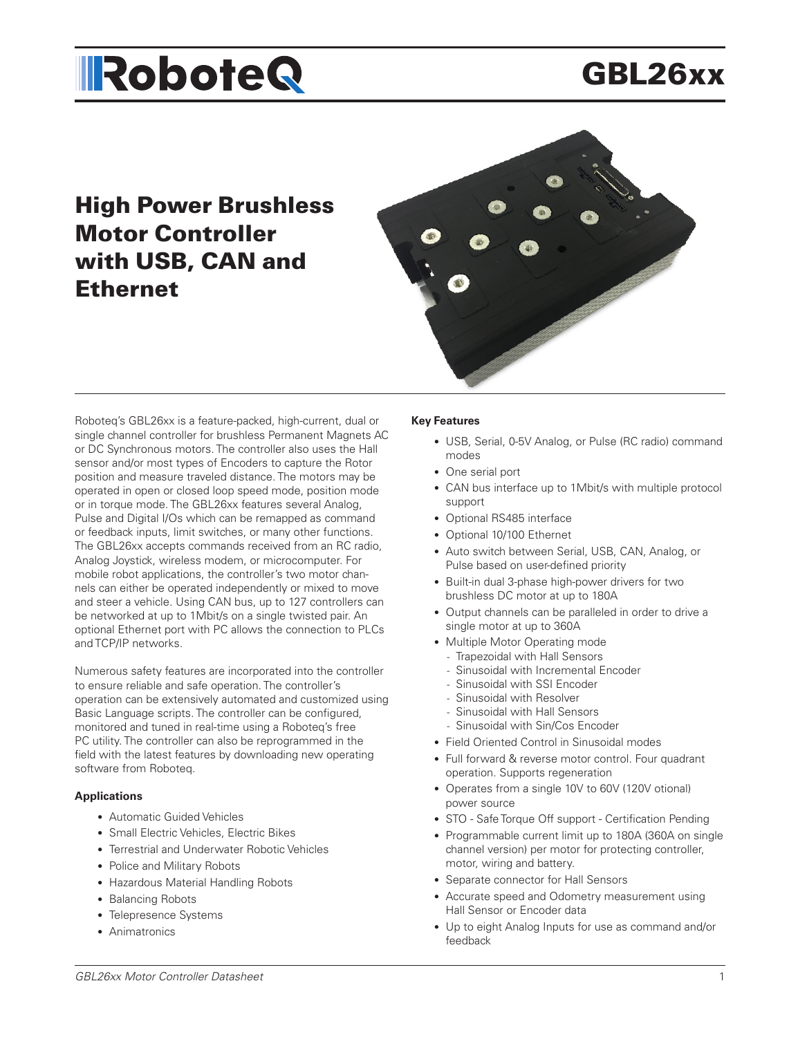# GBL26xx

# High Power Brushless Motor Controller with USB, CAN and Ethernet



Roboteq's GBL26xx is a feature-packed, high-current, dual or single channel controller for brushless Permanent Magnets AC or DC Synchronous motors. The controller also uses the Hall sensor and/or most types of Encoders to capture the Rotor position and measure traveled distance. The motors may be operated in open or closed loop speed mode, position mode or in torque mode. The GBL26xx features several Analog, Pulse and Digital I/Os which can be remapped as command or feedback inputs, limit switches, or many other functions. The GBL26xx accepts commands received from an RC radio, Analog Joystick, wireless modem, or microcomputer. For mobile robot applications, the controller's two motor channels can either be operated independently or mixed to move and steer a vehicle. Using CAN bus, up to 127 controllers can be networked at up to 1Mbit/s on a single twisted pair. An optional Ethernet port with PC allows the connection to PLCs and TCP/IP networks.

Numerous safety features are incorporated into the controller to ensure reliable and safe operation. The controller's operation can be extensively automated and customized using Basic Language scripts. The controller can be configured, monitored and tuned in real-time using a Roboteq's free PC utility. The controller can also be reprogrammed in the field with the latest features by downloading new operating software from Roboteq.

#### **Applications**

- Automatic Guided Vehicles
- Small Electric Vehicles, Electric Bikes
- Terrestrial and Underwater Robotic Vehicles
- Police and Military Robots
- Hazardous Material Handling Robots
- Balancing Robots
- Telepresence Systems
- Animatronics

### **Key Features**

- USB, Serial, 0-5V Analog, or Pulse (RC radio) command modes
- One serial port
- CAN bus interface up to 1Mbit/s with multiple protocol support
- Optional RS485 interface
- Optional 10/100 Ethernet
- Auto switch between Serial, USB, CAN, Analog, or Pulse based on user-defined priority
- Built-in dual 3-phase high-power drivers for two brushless DC motor at up to 180A
- Output channels can be paralleled in order to drive a single motor at up to 360A
- Multiple Motor Operating mode
	- Trapezoidal with Hall Sensors
	- Sinusoidal with Incremental Encoder
	- Sinusoidal with SSI Encoder
	- Sinusoidal with Resolver
	- Sinusoidal with Hall Sensors
	- Sinusoidal with Sin/Cos Encoder
- Field Oriented Control in Sinusoidal modes
- Full forward & reverse motor control. Four quadrant operation. Supports regeneration
- Operates from a single 10V to 60V (120V otional) power source
- STO Safe Torque Off support Certification Pending
- Programmable current limit up to 180A (360A on single channel version) per motor for protecting controller, motor, wiring and battery.
- Separate connector for Hall Sensors
- Accurate speed and Odometry measurement using Hall Sensor or Encoder data
- Up to eight Analog Inputs for use as command and/or feedback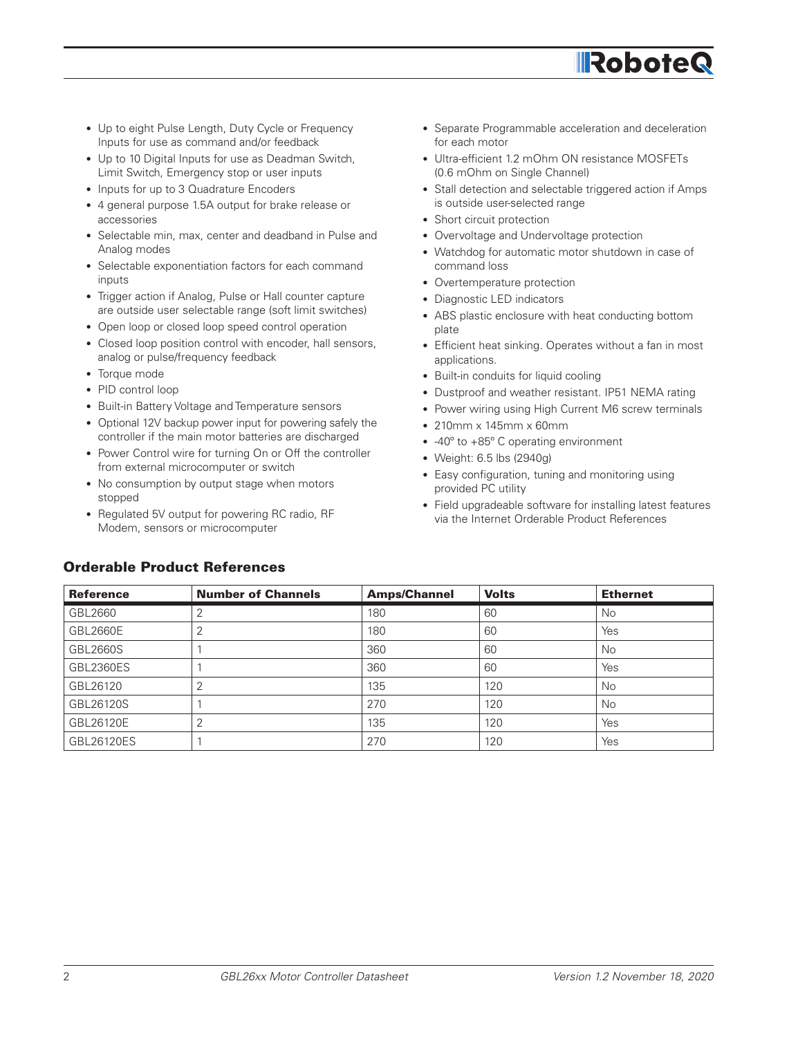# **IRoboteG**

- Up to eight Pulse Length, Duty Cycle or Frequency Inputs for use as command and/or feedback
- Up to 10 Digital Inputs for use as Deadman Switch, Limit Switch, Emergency stop or user inputs
- Inputs for up to 3 Quadrature Encoders
- 4 general purpose 1.5A output for brake release or accessories
- Selectable min, max, center and deadband in Pulse and Analog modes
- Selectable exponentiation factors for each command inputs
- Trigger action if Analog, Pulse or Hall counter capture are outside user selectable range (soft limit switches)
- Open loop or closed loop speed control operation
- Closed loop position control with encoder, hall sensors, analog or pulse/frequency feedback
- Torque mode
- PID control loop
- Built-in Battery Voltage and Temperature sensors
- Optional 12V backup power input for powering safely the controller if the main motor batteries are discharged
- Power Control wire for turning On or Off the controller from external microcomputer or switch
- No consumption by output stage when motors stopped
- Regulated 5V output for powering RC radio, RF Modem, sensors or microcomputer
- Separate Programmable acceleration and deceleration for each motor
- Ultra-efficient 1.2 mOhm ON resistance MOSFETs (0.6 mOhm on Single Channel)
- Stall detection and selectable triggered action if Amps is outside user-selected range
- Short circuit protection
- Overvoltage and Undervoltage protection
- Watchdog for automatic motor shutdown in case of command loss
- Overtemperature protection
- Diagnostic LED indicators
- ABS plastic enclosure with heat conducting bottom plate
- Efficient heat sinking. Operates without a fan in most applications.
- Built-in conduits for liquid cooling
- Dustproof and weather resistant. IP51 NEMA rating
- Power wiring using High Current M6 screw terminals
- 210mm x 145mm x 60mm
- -40º to +85º C operating environment
- Weight: 6.5 lbs (2940g)
- Easy configuration, tuning and monitoring using provided PC utility
- Field upgradeable software for installing latest features via the Internet Orderable Product References

| <b>Reference</b> | <b>Number of Channels</b> | <b>Amps/Channel</b> | <b>Volts</b> | <b>Ethernet</b> |
|------------------|---------------------------|---------------------|--------------|-----------------|
| GBL2660          | 2                         | 180                 | 60           | No              |
| GBL2660E         | っ                         | 180                 | 60           | Yes             |
| GBL2660S         |                           | 360                 | 60           | No              |
| <b>GBL2360ES</b> |                           | 360                 | 60           | Yes             |
| GBL26120         | 2                         | 135                 | 120          | No              |
| GBL26120S        |                           | 270                 | 120          | No              |
| GBL26120E        | $\overline{2}$            | 135                 | 120          | Yes             |
| GBL26120ES       |                           | 270                 | 120          | Yes             |

### Orderable Product References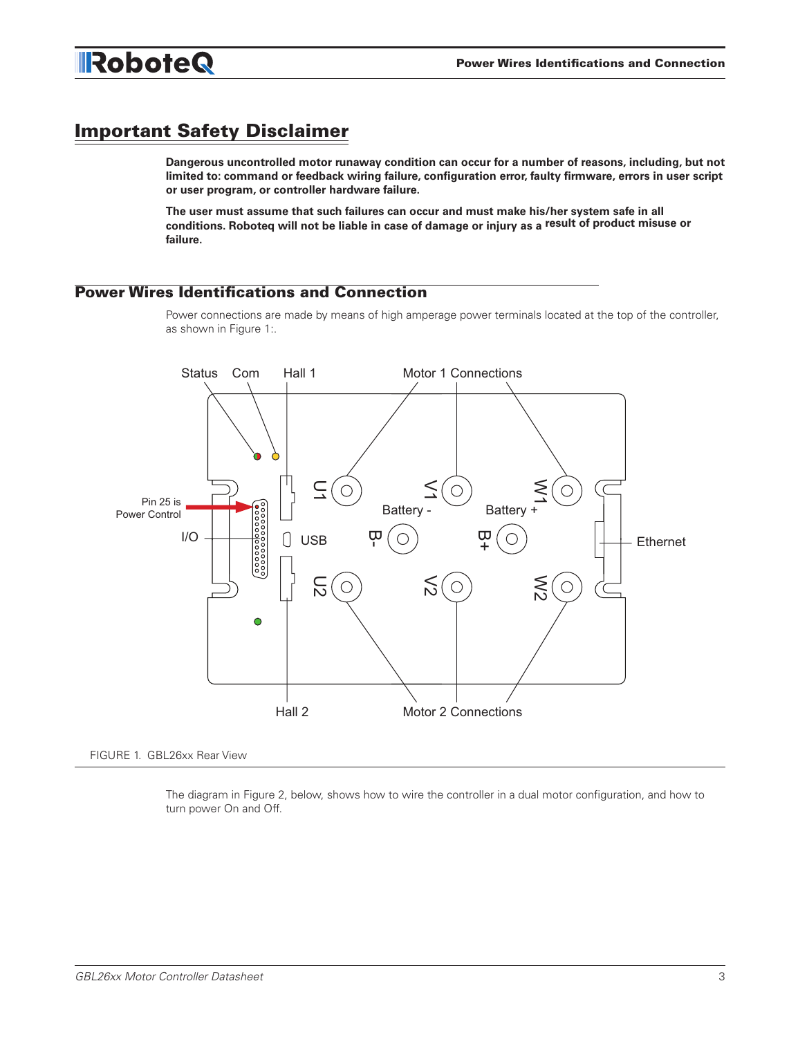

# Important Safety Disclaimer

**Dangerous uncontrolled motor runaway condition can occur for a number of reasons, including, but not limited to: command or feedback wiring failure, configuration error, faulty firmware, errors in user script or user program, or controller hardware failure.** 

**The user must assume that such failures can occur and must make his/her system safe in all conditions. Roboteq will not be liable in case of damage or injury as a result of product misuse or failure.**

### Power Wires Identifications and Connection

Power connections are made by means of high amperage power terminals located at the top of the controller, as shown in Figure 1:.



FIGURE 1. GBL26xx Rear View

The diagram in Figure 2, below, shows how to wire the controller in a dual motor configuration, and how to turn power On and Off.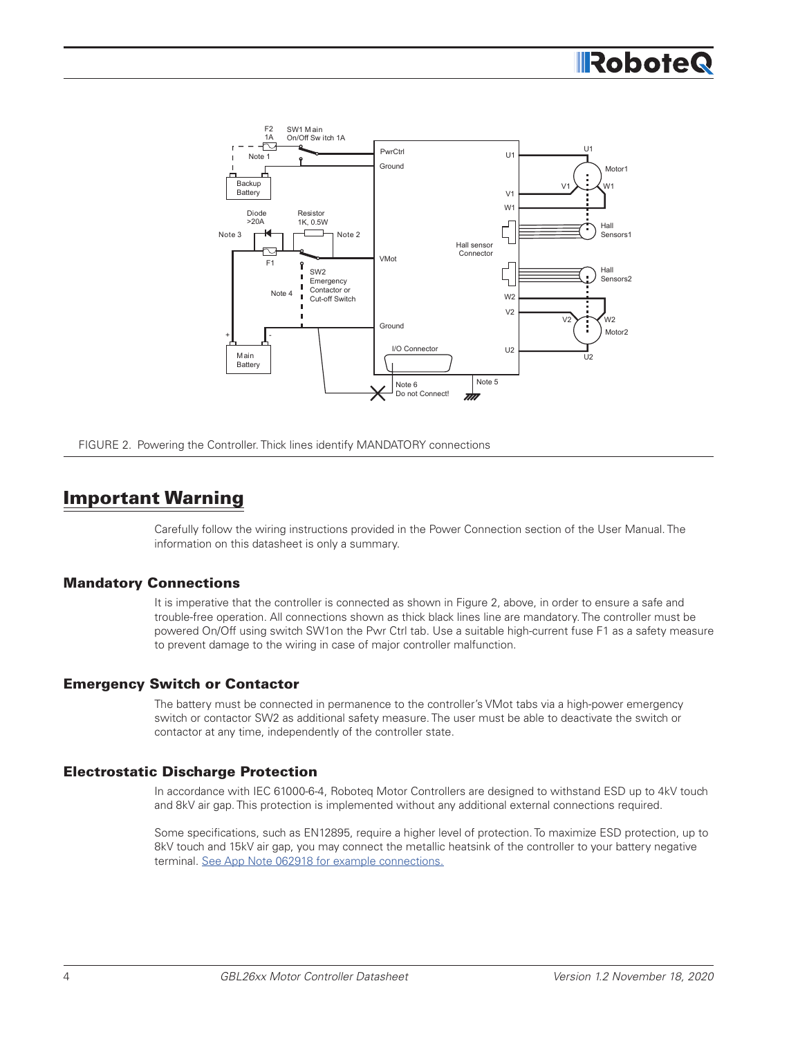# **RoboteG**



FIGURE 2. Powering the Controller. Thick lines identify MANDATORY connections

# Important Warning

Carefully follow the wiring instructions provided in the Power Connection section of the User Manual. The information on this datasheet is only a summary.

### Mandatory Connections

It is imperative that the controller is connected as shown in Figure 2, above, in order to ensure a safe and trouble-free operation. All connections shown as thick black lines line are mandatory. The controller must be powered On/Off using switch SW1on the Pwr Ctrl tab. Use a suitable high-current fuse F1 as a safety measure to prevent damage to the wiring in case of major controller malfunction.

#### Emergency Switch or Contactor

The battery must be connected in permanence to the controller's VMot tabs via a high-power emergency switch or contactor SW2 as additional safety measure. The user must be able to deactivate the switch or contactor at any time, independently of the controller state.

### Electrostatic Discharge Protection

In accordance with IEC 61000-6-4, Roboteq Motor Controllers are designed to withstand ESD up to 4kV touch and 8kV air gap. This protection is implemented without any additional external connections required.

Some specifications, such as EN12895, require a higher level of protection. To maximize ESD protection, up to 8kV touch and 15kV air gap, you may connect the metallic heatsink of the controller to your battery negative terminal. See App Note 062918 for example connections.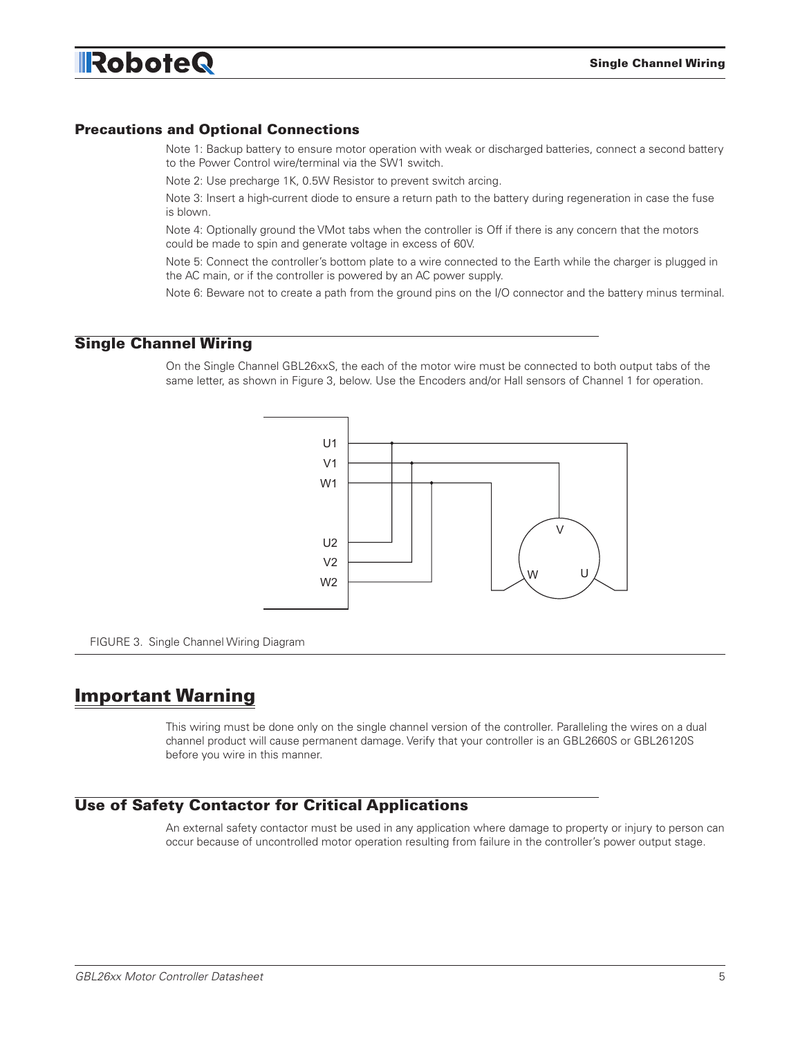### Precautions and Optional Connections

Note 1: Backup battery to ensure motor operation with weak or discharged batteries, connect a second battery to the Power Control wire/terminal via the SW1 switch.

Note 2: Use precharge 1K, 0.5W Resistor to prevent switch arcing.

Note 3: Insert a high-current diode to ensure a return path to the battery during regeneration in case the fuse is blown.

Note 4: Optionally ground the VMot tabs when the controller is Off if there is any concern that the motors could be made to spin and generate voltage in excess of 60V.

Note 5: Connect the controller's bottom plate to a wire connected to the Earth while the charger is plugged in the AC main, or if the controller is powered by an AC power supply.

Note 6: Beware not to create a path from the ground pins on the I/O connector and the battery minus terminal.

### Single Channel Wiring

On the Single Channel GBL26xxS, the each of the motor wire must be connected to both output tabs of the same letter, as shown in Figure 3, below. Use the Encoders and/or Hall sensors of Channel 1 for operation.



FIGURE 3. Single Channel Wiring Diagram

# Important Warning

This wiring must be done only on the single channel version of the controller. Paralleling the wires on a dual channel product will cause permanent damage. Verify that your controller is an GBL2660S or GBL26120S before you wire in this manner.

### Use of Safety Contactor for Critical Applications

An external safety contactor must be used in any application where damage to property or injury to person can occur because of uncontrolled motor operation resulting from failure in the controller's power output stage.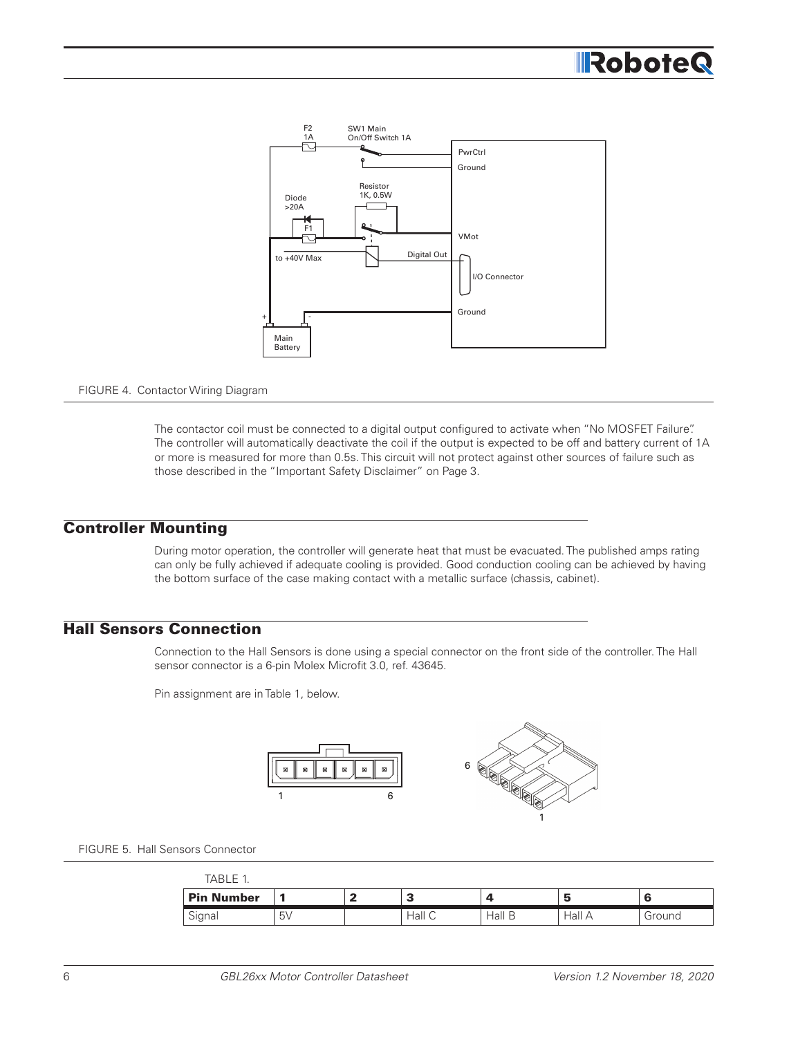# **IRoboteG**



#### FIGURE 4. Contactor Wiring Diagram

The contactor coil must be connected to a digital output configured to activate when "No MOSFET Failure". The controller will automatically deactivate the coil if the output is expected to be off and battery current of 1A or more is measured for more than 0.5s. This circuit will not protect against other sources of failure such as those described in the "Important Safety Disclaimer" on Page 3.

### Controller Mounting

During motor operation, the controller will generate heat that must be evacuated. The published amps rating can only be fully achieved if adequate cooling is provided. Good conduction cooling can be achieved by having the bottom surface of the case making contact with a metallic surface (chassis, cabinet).

### Hall Sensors Connection

Connection to the Hall Sensors is done using a special connector on the front side of the controller. The Hall sensor connector is a 6-pin Molex Microfit 3.0, ref. 43645.

Pin assignment are in Table 1, below.



FIGURE 5. Hall Sensors Connector

| TABLE 1           |         |              |        |        |        |
|-------------------|---------|--------------|--------|--------|--------|
| <b>Pin Number</b> |         | £<br>$\cdot$ |        | э      |        |
| Signal            | $5\vee$ | Hall C       | Hall B | Hall A | Ground |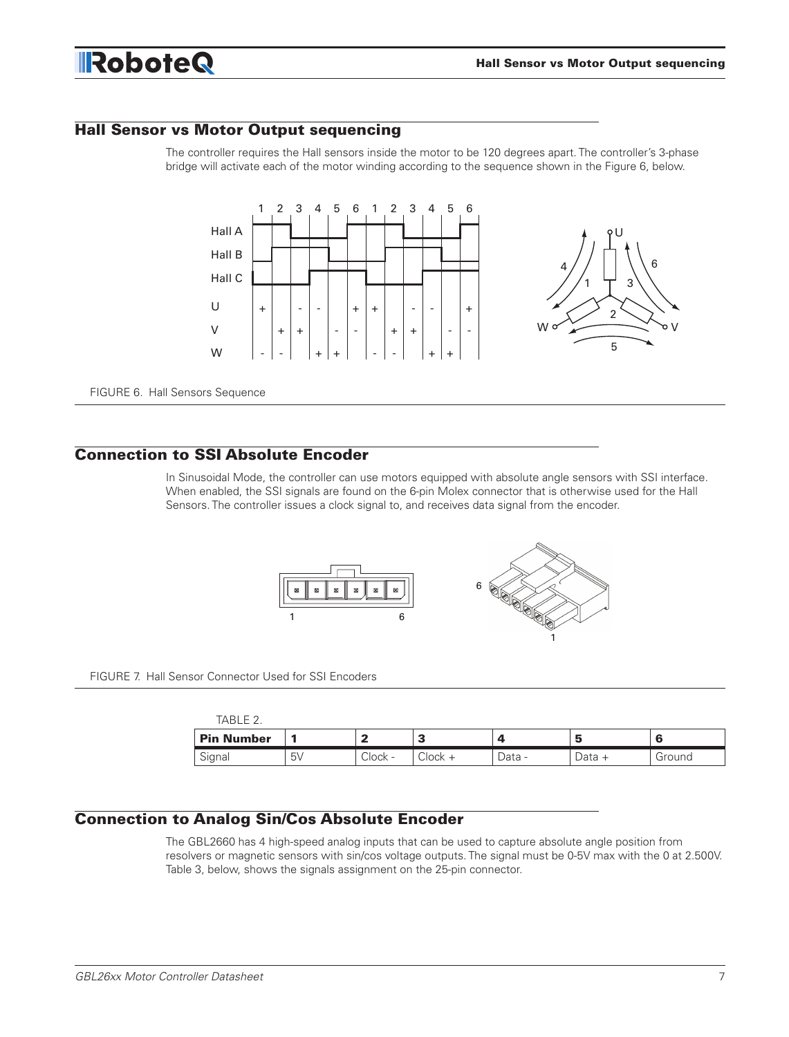

### Hall Sensor vs Motor Output sequencing

The controller requires the Hall sensors inside the motor to be 120 degrees apart. The controller's 3-phase bridge will activate each of the motor winding according to the sequence shown in the Figure 6, below.



FIGURE 6. Hall Sensors Sequence

### Connection to SSI Absolute Encoder

In Sinusoidal Mode, the controller can use motors equipped with absolute angle sensors with SSI interface. When enabled, the SSI signals are found on the 6-pin Molex connector that is otherwise used for the Hall Sensors. The controller issues a clock signal to, and receives data signal from the encoder.



FIGURE 7. Hall Sensor Connector Used for SSI Encoders

| TABLE 2    |                |         |           |        |        |        |
|------------|----------------|---------|-----------|--------|--------|--------|
| Pin Number |                |         |           |        |        |        |
| Signal     | 5 <sub>V</sub> | Clock - | $Clock +$ | Data - | Data + | Ground |

### Connection to Analog Sin/Cos Absolute Encoder

The GBL2660 has 4 high-speed analog inputs that can be used to capture absolute angle position from resolvers or magnetic sensors with sin/cos voltage outputs. The signal must be 0-5V max with the 0 at 2.500V. Table 3, below, shows the signals assignment on the 25-pin connector.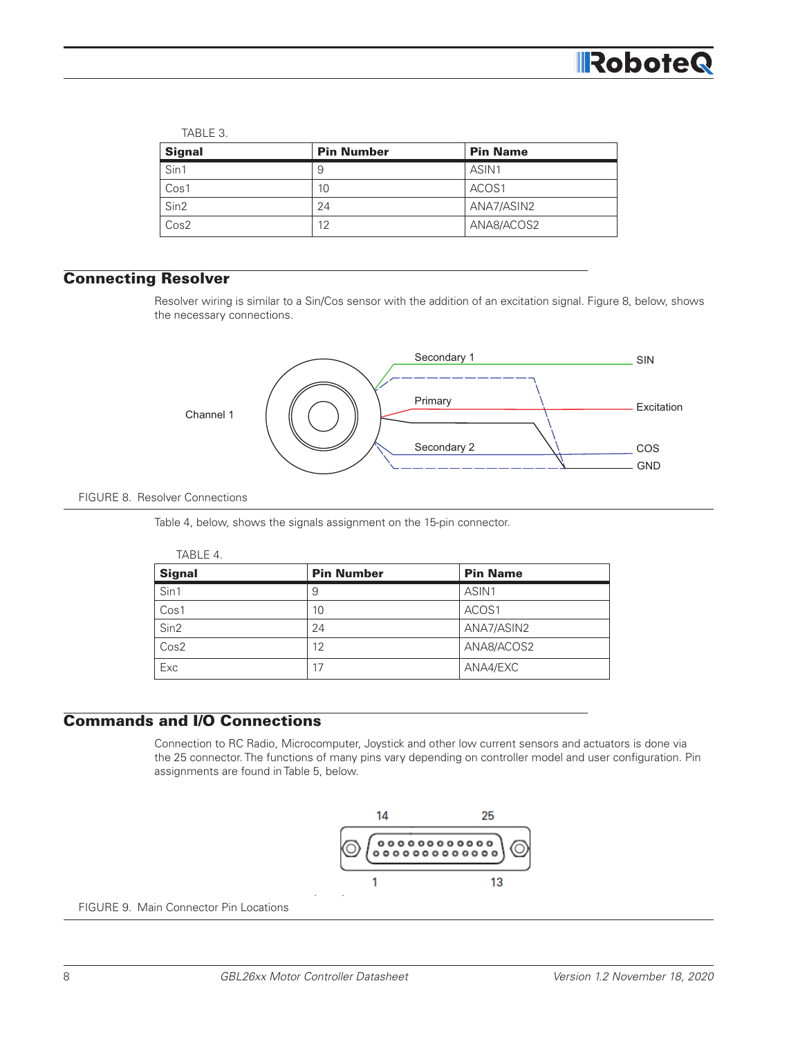

#### TABLE 3.

| <b>Signal</b>    | <b>Pin Number</b> | <b>Pin Name</b> |
|------------------|-------------------|-----------------|
| Sin1             | 9                 | ASIN1           |
| Cos1             | 10                | ACOS1           |
| Sin <sub>2</sub> | 24                | ANA7/ASIN2      |
| Cos2             | 12                | ANA8/ACOS2      |

# Connecting Resolver

Resolver wiring is similar to a Sin/Cos sensor with the addition of an excitation signal. Figure 8, below, shows the necessary connections.



#### FIGURE 8. Resolver Connections

Table 4, below, shows the signals assignment on the 15-pin connector.

|--|--|

| <b>Signal</b> | <b>Pin Number</b> | <b>Pin Name</b> |
|---------------|-------------------|-----------------|
| Sin1          | 9                 | ASIN1           |
| Cos1          | 10                | ACOS1           |
| Sin2          | 24                | ANA7/ASIN2      |
| Cos2          | 12                | ANA8/ACOS2      |
| Exc           | 17                | ANA4/EXC        |

## Commands and I/O Connections

Connection to RC Radio, Microcomputer, Joystick and other low current sensors and actuators is done via the 25 connector. The functions of many pins vary depending on controller model and user configuration. Pin assignments are found in Table 5, below.



FIGURE 9. Main Connector Pin Locations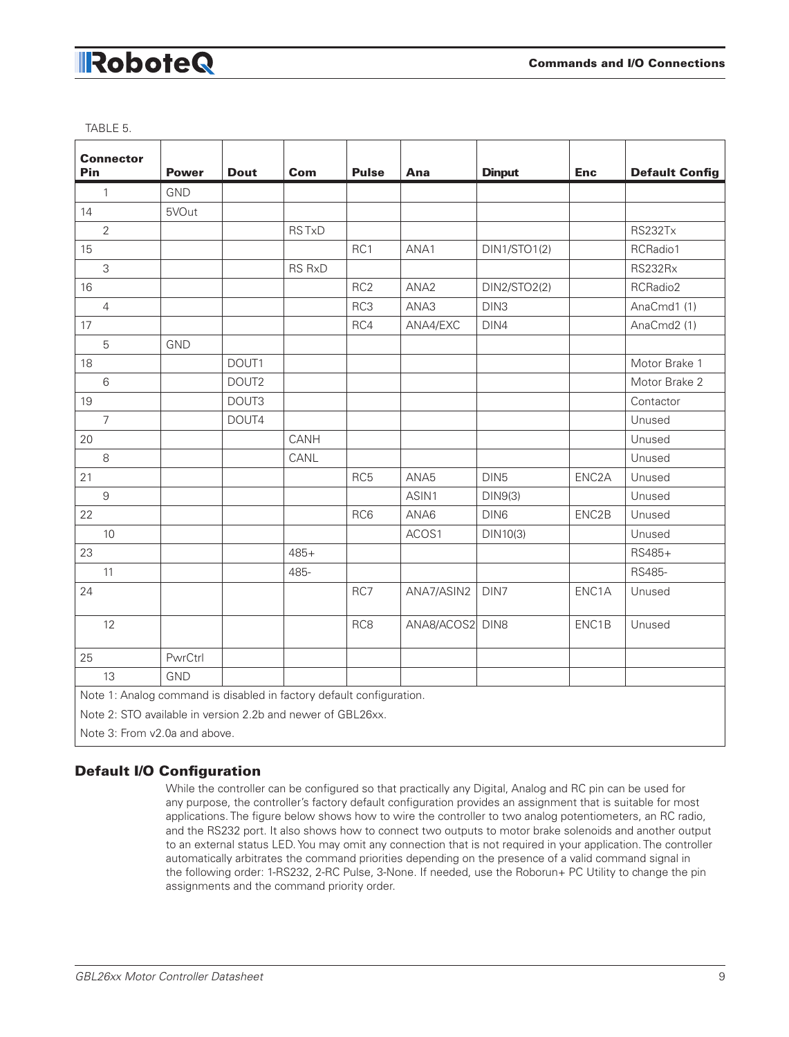|  | ۰, |
|--|----|
|--|----|

| <b>Connector</b>                                                     |              |             |               |                 |                  |                  |                    |                       |
|----------------------------------------------------------------------|--------------|-------------|---------------|-----------------|------------------|------------------|--------------------|-----------------------|
| Pin                                                                  | <b>Power</b> | <b>Dout</b> | <b>Com</b>    | <b>Pulse</b>    | Ana              | <b>Dinput</b>    | <b>Enc</b>         | <b>Default Config</b> |
| $\mathbf{1}$                                                         | <b>GND</b>   |             |               |                 |                  |                  |                    |                       |
| 14                                                                   | 5VOut        |             |               |                 |                  |                  |                    |                       |
| $\overline{2}$                                                       |              |             | <b>RSTxD</b>  |                 |                  |                  |                    | <b>RS232Tx</b>        |
| 15                                                                   |              |             |               | RC1             | ANA1             | DIN1/STO1(2)     |                    | RCRadio1              |
| 3                                                                    |              |             | <b>RS RxD</b> |                 |                  |                  |                    | <b>RS232Rx</b>        |
| 16                                                                   |              |             |               | RC <sub>2</sub> | ANA <sub>2</sub> | DIN2/STO2(2)     |                    | RCRadio2              |
| $\overline{4}$                                                       |              |             |               | RC3             | ANA3             | DIN <sub>3</sub> |                    | AnaCmd1 (1)           |
| 17                                                                   |              |             |               | RC4             | ANA4/EXC         | DIN4             |                    | AnaCmd2 (1)           |
| 5                                                                    | <b>GND</b>   |             |               |                 |                  |                  |                    |                       |
| 18                                                                   |              | DOUT1       |               |                 |                  |                  |                    | Motor Brake 1         |
| $6\,$                                                                |              | DOUT2       |               |                 |                  |                  |                    | Motor Brake 2         |
| 19                                                                   |              | DOUT3       |               |                 |                  |                  |                    | Contactor             |
| $\overline{7}$                                                       |              | DOUT4       |               |                 |                  |                  |                    | Unused                |
| 20                                                                   |              |             | CANH          |                 |                  |                  |                    | Unused                |
| $\,8\,$                                                              |              |             | CANL          |                 |                  |                  |                    | Unused                |
| 21                                                                   |              |             |               | RC <sub>5</sub> | ANA5             | DIN <sub>5</sub> | ENC <sub>2</sub> A | Unused                |
| $\overline{9}$                                                       |              |             |               |                 | ASIN1            | DIN9(3)          |                    | Unused                |
| 22                                                                   |              |             |               | RC6             | ANA6             | DIN6             | ENC2B              | Unused                |
| 10                                                                   |              |             |               |                 | ACOS1            | DIN10(3)         |                    | Unused                |
| 23                                                                   |              |             | $485+$        |                 |                  |                  |                    | RS485+                |
| 11                                                                   |              |             | 485-          |                 |                  |                  |                    | RS485-                |
| 24                                                                   |              |             |               | RC7             | ANA7/ASIN2       | DIN7             | ENC1A              | Unused                |
| 12                                                                   |              |             |               | RC8             | ANA8/ACOS2       | DIN8             | ENC1B              | Unused                |
| 25                                                                   | PwrCtrl      |             |               |                 |                  |                  |                    |                       |
| 13                                                                   | <b>GND</b>   |             |               |                 |                  |                  |                    |                       |
| Note 1: Analog command is disabled in factory default configuration. |              |             |               |                 |                  |                  |                    |                       |
| Note 2: STO available in version 2.2b and newer of GBL26xx.          |              |             |               |                 |                  |                  |                    |                       |
| Note 3: From v2.0a and above.                                        |              |             |               |                 |                  |                  |                    |                       |

## Default I/O Configuration

While the controller can be configured so that practically any Digital, Analog and RC pin can be used for any purpose, the controller's factory default configuration provides an assignment that is suitable for most applications. The figure below shows how to wire the controller to two analog potentiometers, an RC radio, and the RS232 port. It also shows how to connect two outputs to motor brake solenoids and another output to an external status LED. You may omit any connection that is not required in your application. The controller automatically arbitrates the command priorities depending on the presence of a valid command signal in the following order: 1-RS232, 2-RC Pulse, 3-None. If needed, use the Roborun+ PC Utility to change the pin assignments and the command priority order.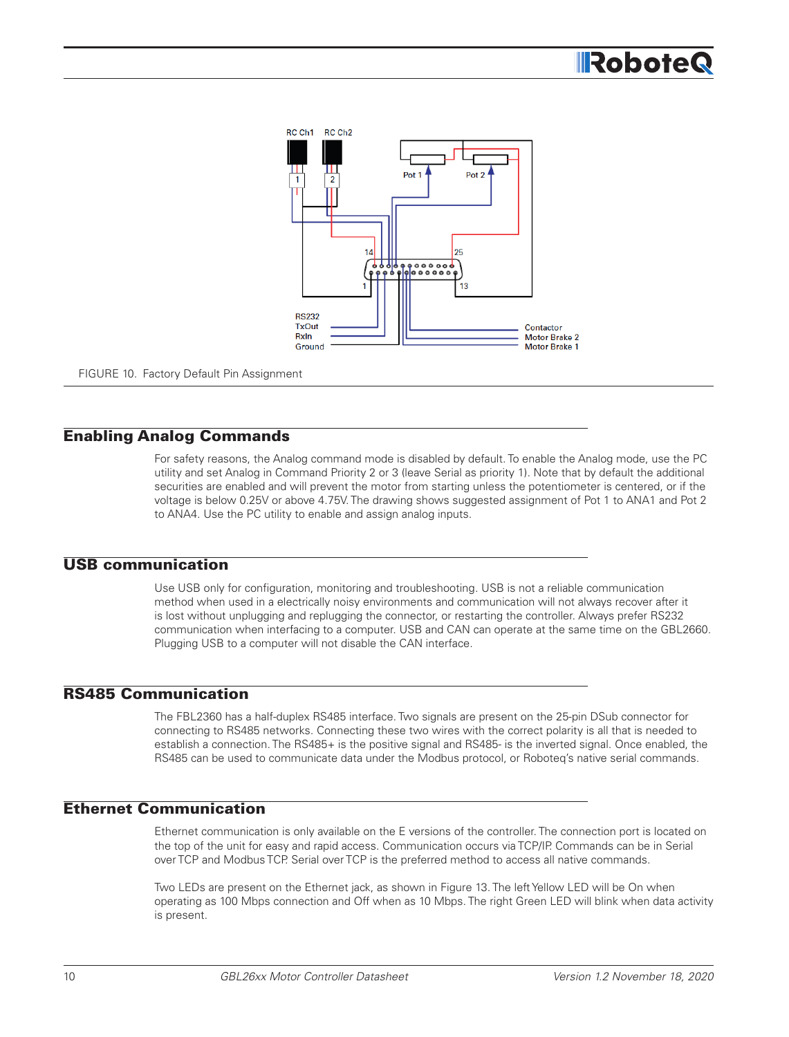

FIGURE 10. Factory Default Pin Assignment

### Enabling Analog Commands

For safety reasons, the Analog command mode is disabled by default. To enable the Analog mode, use the PC utility and set Analog in Command Priority 2 or 3 (leave Serial as priority 1). Note that by default the additional securities are enabled and will prevent the motor from starting unless the potentiometer is centered, or if the voltage is below 0.25V or above 4.75V. The drawing shows suggested assignment of Pot 1 to ANA1 and Pot 2 to ANA4. Use the PC utility to enable and assign analog inputs.

### USB communication

Use USB only for configuration, monitoring and troubleshooting. USB is not a reliable communication method when used in a electrically noisy environments and communication will not always recover after it is lost without unplugging and replugging the connector, or restarting the controller. Always prefer RS232 communication when interfacing to a computer. USB and CAN can operate at the same time on the GBL2660. Plugging USB to a computer will not disable the CAN interface.

### RS485 Communication

The FBL2360 has a half-duplex RS485 interface. Two signals are present on the 25-pin DSub connector for connecting to RS485 networks. Connecting these two wires with the correct polarity is all that is needed to establish a connection. The RS485+ is the positive signal and RS485- is the inverted signal. Once enabled, the RS485 can be used to communicate data under the Modbus protocol, or Roboteq's native serial commands.

### Ethernet Communication

Ethernet communication is only available on the E versions of the controller. The connection port is located on the top of the unit for easy and rapid access. Communication occurs via TCP/IP. Commands can be in Serial over TCP and Modbus TCP. Serial over TCP is the preferred method to access all native commands.

Two LEDs are present on the Ethernet jack, as shown in Figure 13. The left Yellow LED will be On when operating as 100 Mbps connection and Off when as 10 Mbps. The right Green LED will blink when data activity is present.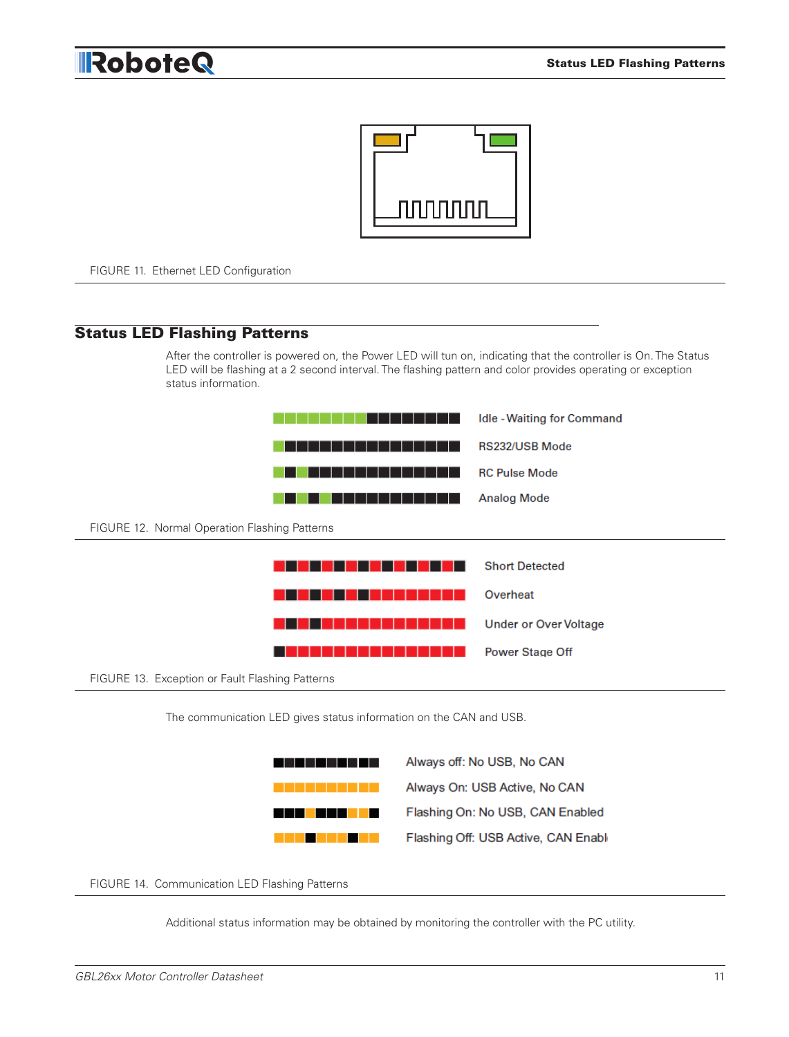



FIGURE 11. Ethernet LED Configuration

### Status LED Flashing Patterns

After the controller is powered on, the Power LED will tun on, indicating that the controller is On. The Status LED will be flashing at a 2 second interval. The flashing pattern and color provides operating or exception status information.



The communication LED gives status information on the CAN and USB.

| ---<br>.                                                                                                                                                                                                                             | Always off: No USB, No CAN           |
|--------------------------------------------------------------------------------------------------------------------------------------------------------------------------------------------------------------------------------------|--------------------------------------|
| w y w tj w w y y y s                                                                                                                                                                                                                 | Always On: USB Active, No CAN        |
| <u> Literatur de la provincia de la conte</u>                                                                                                                                                                                        | Flashing On: No USB, CAN Enabled     |
| <u> Tantan di Kabupatén Bandung Kabupatén Ing Kabupatén Ing Kabupatén Ing Kabupatén Ing Kabupatén Ing Kabupatén Ing Kabupatén Ing Kabupatén Ing Kabupatén Ing Kabupatén Ing Kabupatén Ing Kabupatén Ing Kabupatén Ing Kabupatén </u> | Flashing Off: USB Active, CAN Enable |

FIGURE 14. Communication LED Flashing Patterns

Additional status information may be obtained by monitoring the controller with the PC utility.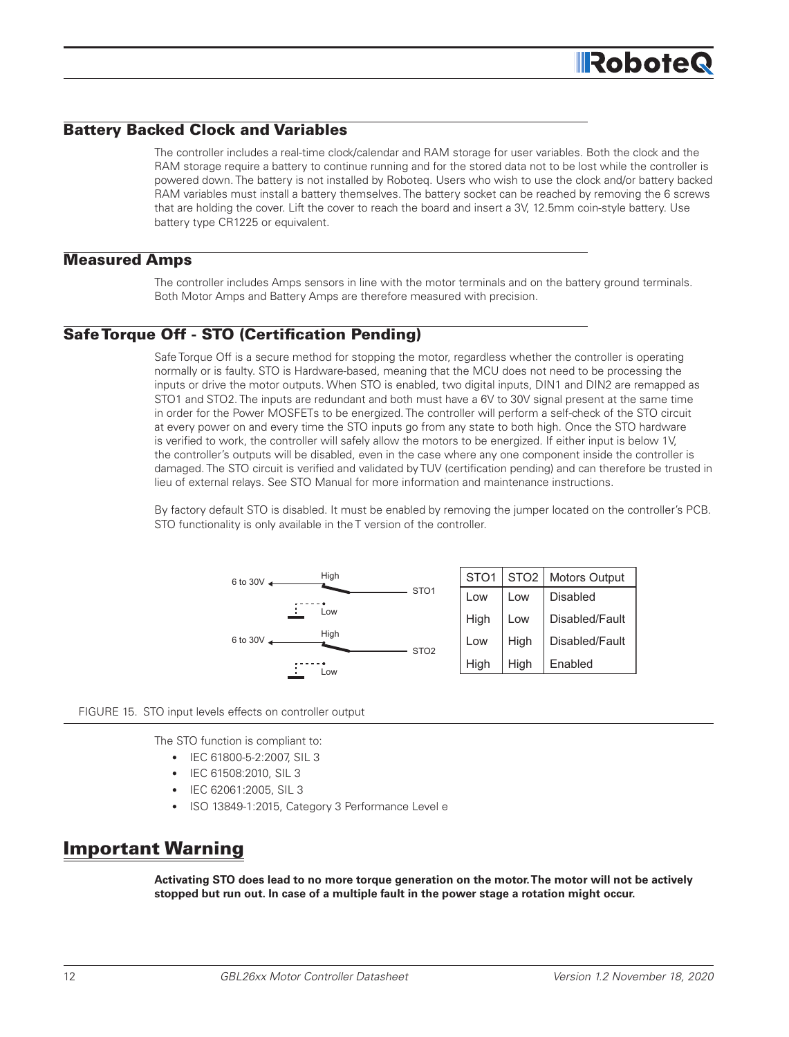### Battery Backed Clock and Variables

The controller includes a real-time clock/calendar and RAM storage for user variables. Both the clock and the RAM storage require a battery to continue running and for the stored data not to be lost while the controller is powered down. The battery is not installed by Roboteq. Users who wish to use the clock and/or battery backed RAM variables must install a battery themselves. The battery socket can be reached by removing the 6 screws that are holding the cover. Lift the cover to reach the board and insert a 3V, 12.5mm coin-style battery. Use battery type CR1225 or equivalent.

#### Measured Amps

The controller includes Amps sensors in line with the motor terminals and on the battery ground terminals. Both Motor Amps and Battery Amps are therefore measured with precision.

### Safe Torque Off - STO (Certification Pending)

Safe Torque Off is a secure method for stopping the motor, regardless whether the controller is operating normally or is faulty. STO is Hardware-based, meaning that the MCU does not need to be processing the inputs or drive the motor outputs. When STO is enabled, two digital inputs, DIN1 and DIN2 are remapped as STO1 and STO2. The inputs are redundant and both must have a 6V to 30V signal present at the same time in order for the Power MOSFETs to be energized. The controller will perform a self-check of the STO circuit at every power on and every time the STO inputs go from any state to both high. Once the STO hardware is verified to work, the controller will safely allow the motors to be energized. If either input is below 1V, the controller's outputs will be disabled, even in the case where any one component inside the controller is damaged. The STO circuit is verified and validated by TUV (certification pending) and can therefore be trusted in lieu of external relays. See STO Manual for more information and maintenance instructions.

By factory default STO is disabled. It must be enabled by removing the jumper located on the controller's PCB. STO functionality is only available in the T version of the controller.



FIGURE 15. STO input levels effects on controller output

The STO function is compliant to:

- IEC 61800-5-2:2007, SIL 3
- IEC 61508:2010, SIL 3
- IEC 62061:2005, SIL 3
- ISO 13849-1:2015, Category 3 Performance Level e

# Important Warning

**Activating STO does lead to no more torque generation on the motor. The motor will not be actively stopped but run out. In case of a multiple fault in the power stage a rotation might occur.**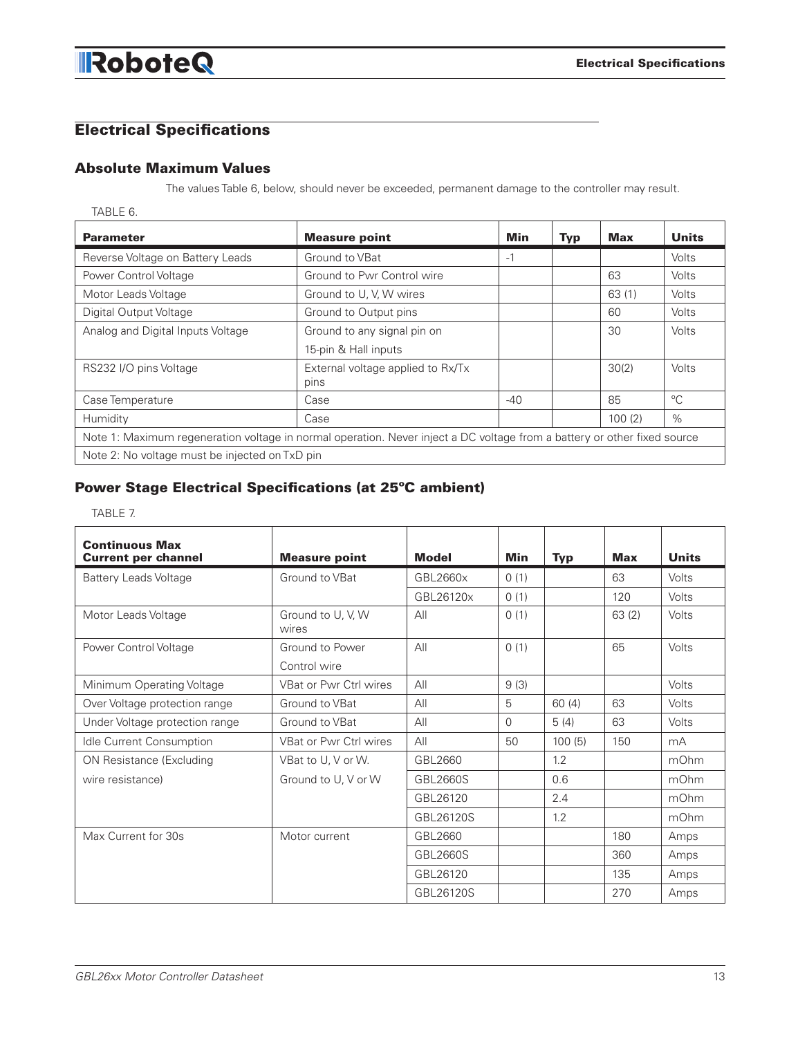# Electrical Specifications

# Absolute Maximum Values

The values Table 6, below, should never be exceeded, permanent damage to the controller may result.

TABLE 6.

| <b>Parameter</b>                               | <b>Measure point</b>                                                                                                     | <b>Min</b> | <b>Typ</b> | Max    | <b>Units</b> |  |  |
|------------------------------------------------|--------------------------------------------------------------------------------------------------------------------------|------------|------------|--------|--------------|--|--|
| Reverse Voltage on Battery Leads               | Ground to VBat                                                                                                           | $-1$       |            |        | Volts        |  |  |
| Power Control Voltage                          | Ground to Pwr Control wire                                                                                               |            |            | 63     | <b>Volts</b> |  |  |
| Motor Leads Voltage                            | Ground to U, V, W wires                                                                                                  |            |            | 63(1)  | Volts        |  |  |
| Digital Output Voltage                         | Ground to Output pins                                                                                                    |            |            | 60     | Volts        |  |  |
| Analog and Digital Inputs Voltage              | Ground to any signal pin on                                                                                              |            |            | 30     | Volts        |  |  |
|                                                | 15-pin & Hall inputs                                                                                                     |            |            |        |              |  |  |
| RS232 I/O pins Voltage                         | External voltage applied to Rx/Tx                                                                                        |            |            | 30(2)  | Volts        |  |  |
|                                                | pins                                                                                                                     |            |            |        |              |  |  |
| Case Temperature                               | Case                                                                                                                     | $-40$      |            | 85     | $^{\circ}C$  |  |  |
| Humidity                                       | Case                                                                                                                     |            |            | 100(2) | $\%$         |  |  |
|                                                | Note 1: Maximum regeneration voltage in normal operation. Never inject a DC voltage from a battery or other fixed source |            |            |        |              |  |  |
| Note 2: No voltage must be injected on TxD pin |                                                                                                                          |            |            |        |              |  |  |

# Power Stage Electrical Specifications (at 25ºC ambient)

TABLE 7.

| <b>Continuous Max</b><br><b>Current per channel</b> | <b>Measure point</b>          | <b>Model</b> | Min      | <b>Typ</b> | <b>Max</b> | <b>Units</b> |
|-----------------------------------------------------|-------------------------------|--------------|----------|------------|------------|--------------|
| <b>Battery Leads Voltage</b>                        | Ground to VBat                | GBL2660x     | 0(1)     |            | 63         | Volts        |
|                                                     |                               | GBL26120x    | 0(1)     |            | 120        | Volts        |
| Motor Leads Voltage                                 | Ground to U, V, W<br>wires    | All          | 0(1)     |            | 63(2)      | Volts        |
| Power Control Voltage                               | Ground to Power               | All          | 0(1)     |            | 65         | Volts        |
|                                                     | Control wire                  |              |          |            |            |              |
| Minimum Operating Voltage                           | VBat or Pwr Ctrl wires        | All          | 9(3)     |            |            | Volts        |
| Over Voltage protection range                       | Ground to VBat                | AlI          | 5        | 60(4)      | 63         | Volts        |
| Under Voltage protection range                      | Ground to VBat                | All          | $\Omega$ | 5(4)       | 63         | Volts        |
| Idle Current Consumption                            | <b>VBat or Pwr Ctrl wires</b> | All          | 50       | 100(5)     | 150        | mA           |
| <b>ON Resistance (Excluding</b>                     | VBat to U, V or W.            | GBL2660      |          | 1.2        |            | mOhm         |
| wire resistance)                                    | Ground to U, V or W           | GBL2660S     |          | 0.6        |            | mOhm         |
|                                                     |                               | GBL26120     |          | 2.4        |            | mOhm         |
|                                                     |                               | GBL26120S    |          | 1.2        |            | mOhm         |
| Max Current for 30s                                 | Motor current                 | GBL2660      |          |            | 180        | Amps         |
|                                                     |                               | GBL2660S     |          |            | 360        | Amps         |
|                                                     |                               | GBL26120     |          |            | 135        | Amps         |
|                                                     |                               | GBL26120S    |          |            | 270        | Amps         |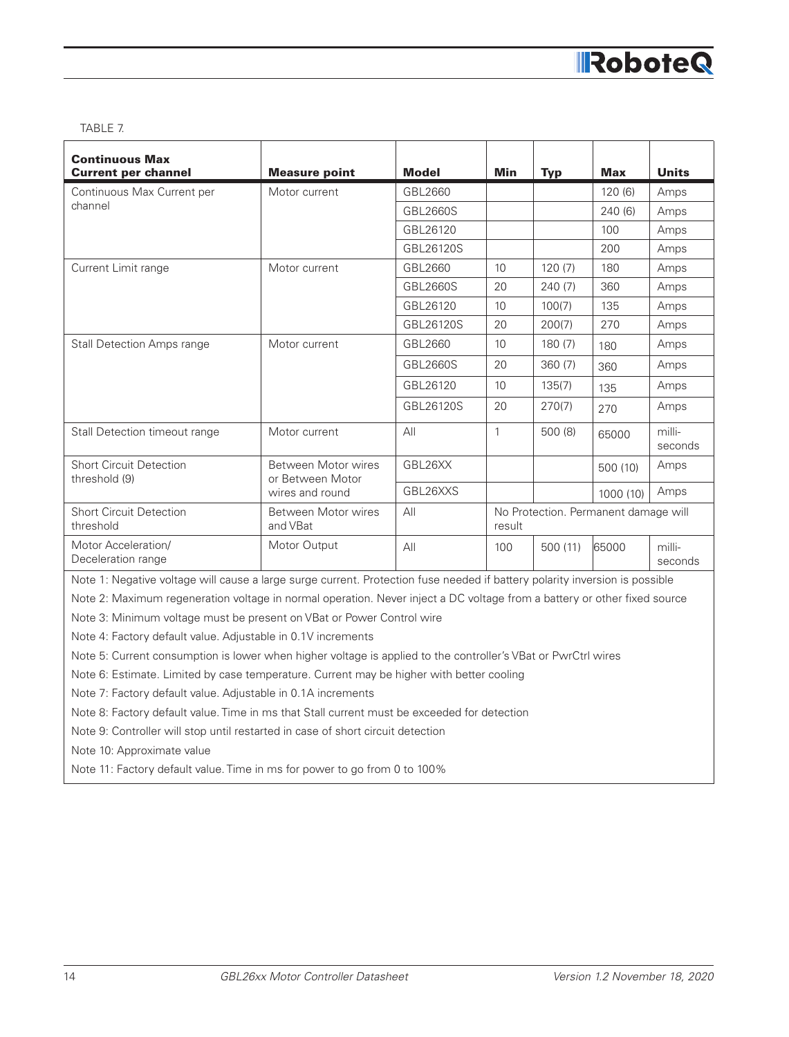#### TABLE 7.

| <b>Continuous Max</b><br><b>Current per channel</b> | <b>Measure point</b>                    | <b>Model</b>    | Min          | <b>Typ</b>                           | <b>Max</b> | <b>Units</b>      |
|-----------------------------------------------------|-----------------------------------------|-----------------|--------------|--------------------------------------|------------|-------------------|
| Continuous Max Current per                          | Motor current                           | GBL2660         |              |                                      | 120(6)     | Amps              |
| channel                                             |                                         | GBL2660S        |              |                                      | 240(6)     | Amps              |
|                                                     |                                         | GBL26120        |              |                                      | 100        | Amps              |
|                                                     |                                         | GBL26120S       |              |                                      | 200        | Amps              |
| Current Limit range                                 | Motor current                           | GBL2660         | 10           | 120(7)                               | 180        | Amps              |
|                                                     |                                         | <b>GBL2660S</b> | 20           | 240(7)                               | 360        | Amps              |
|                                                     |                                         | GBL26120        | 10           | 100(7)                               | 135        | Amps              |
|                                                     |                                         | GBL26120S       | 20           | 200(7)                               | 270        | Amps              |
| <b>Stall Detection Amps range</b>                   | Motor current                           | GBL2660         | 10           | 180(7)                               | 180        | Amps              |
|                                                     |                                         | GBL2660S        | 20           | 360(7)                               | 360        | Amps              |
|                                                     |                                         | GBL26120        | 10           | 135(7)                               | 135        | Amps              |
|                                                     |                                         | GBL26120S       | 20           | 270(7)                               | 270        | Amps              |
| Stall Detection timeout range                       | Motor current                           | All             | $\mathbf{1}$ | 500 (8)                              | 65000      | milli-<br>seconds |
| <b>Short Circuit Detection</b><br>threshold (9)     | Between Motor wires<br>or Between Motor | GBL26XX         |              |                                      | 500 (10)   | Amps              |
|                                                     | wires and round                         | GBL26XXS        |              |                                      | 1000 (10)  | Amps              |
| <b>Short Circuit Detection</b><br>threshold         | Between Motor wires<br>and VBat         | All             | result       | No Protection. Permanent damage will |            |                   |
| Motor Acceleration/<br>Deceleration range           | Motor Output                            | All             | 100          | 500 (11)                             | 65000      | milli-<br>seconds |

Note 1: Negative voltage will cause a large surge current. Protection fuse needed if battery polarity inversion is possible

Note 2: Maximum regeneration voltage in normal operation. Never inject a DC voltage from a battery or other fixed source

Note 3: Minimum voltage must be present on VBat or Power Control wire

Note 4: Factory default value. Adjustable in 0.1V increments

Note 5: Current consumption is lower when higher voltage is applied to the controller's VBat or PwrCtrl wires

Note 6: Estimate. Limited by case temperature. Current may be higher with better cooling

Note 7: Factory default value. Adjustable in 0.1A increments

Note 8: Factory default value. Time in ms that Stall current must be exceeded for detection

Note 9: Controller will stop until restarted in case of short circuit detection

Note 10: Approximate value

Note 11: Factory default value. Time in ms for power to go from 0 to 100%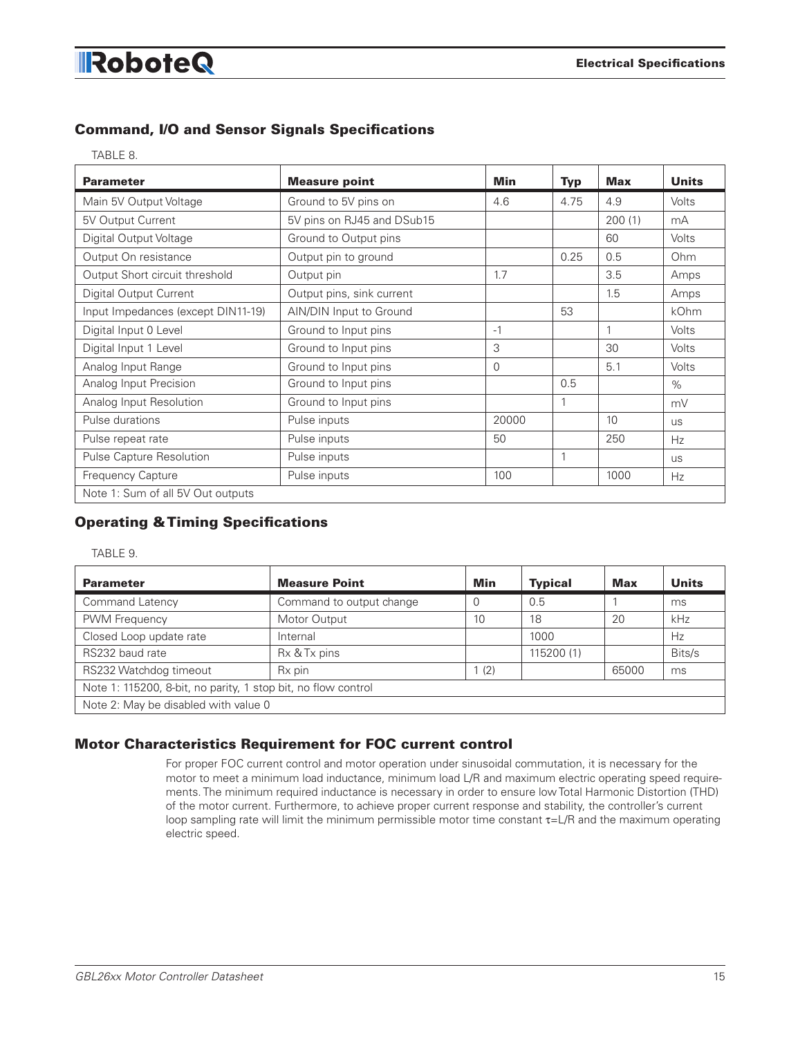# Command, I/O and Sensor Signals Specifications

|  | ٠<br>× |
|--|--------|
|  |        |

| <b>Parameter</b>                   | <b>Measure point</b>       | <b>Min</b> | <b>Typ</b> | <b>Max</b> | <b>Units</b> |
|------------------------------------|----------------------------|------------|------------|------------|--------------|
| Main 5V Output Voltage             | Ground to 5V pins on       | 4.6        | 4.75       | 4.9        | Volts        |
| 5V Output Current                  | 5V pins on RJ45 and DSub15 |            |            | 200(1)     | mA           |
| Digital Output Voltage             | Ground to Output pins      |            |            | 60         | Volts        |
| Output On resistance               | Output pin to ground       |            | 0.25       | 0.5        | Ohm          |
| Output Short circuit threshold     | Output pin                 | 1.7        |            | 3.5        | Amps         |
| <b>Digital Output Current</b>      | Output pins, sink current  |            |            | 1.5        | Amps         |
| Input Impedances (except DIN11-19) | AIN/DIN Input to Ground    |            | 53         |            | kOhm         |
| Digital Input 0 Level              | Ground to Input pins       | $-1$       |            |            | Volts        |
| Digital Input 1 Level              | Ground to Input pins       | 3          |            | 30         | Volts        |
| Analog Input Range                 | Ground to Input pins       | $\Omega$   |            | 5.1        | Volts        |
| Analog Input Precision             | Ground to Input pins       |            | 0.5        |            | $\%$         |
| Analog Input Resolution            | Ground to Input pins       |            | 1          |            | mV           |
| Pulse durations                    | Pulse inputs               | 20000      |            | 10         | <b>US</b>    |
| Pulse repeat rate                  | Pulse inputs               | 50         |            | 250        | Hz           |
| Pulse Capture Resolution           | Pulse inputs               |            | 1          |            | <b>US</b>    |
| Frequency Capture                  | Pulse inputs               | 100        |            | 1000       | Hz           |
| Note 1: Sum of all 5V Out outputs  |                            |            |            |            |              |

# Operating & Timing Specifications

#### TABLE 9.

| <b>Parameter</b>                                              | <b>Measure Point</b>     | Min      | <b>Typical</b> | <b>Max</b> | <b>Units</b> |
|---------------------------------------------------------------|--------------------------|----------|----------------|------------|--------------|
| <b>Command Latency</b>                                        | Command to output change | $\Omega$ | 0.5            |            | ms           |
| PWM Frequency                                                 | Motor Output             | 10       | 18             | 20         | kHz          |
| Closed Loop update rate                                       | Internal                 |          | 1000           |            | Hz           |
| RS232 baud rate                                               | Rx & Tx pins             |          | 115200 (1)     |            | Bits/s       |
| RS232 Watchdog timeout                                        | Rx pin                   | 1(2)     |                | 65000      | ms           |
| Note 1: 115200, 8-bit, no parity, 1 stop bit, no flow control |                          |          |                |            |              |
| Note 2: May be disabled with value 0                          |                          |          |                |            |              |

### Motor Characteristics Requirement for FOC current control

For proper FOC current control and motor operation under sinusoidal commutation, it is necessary for the motor to meet a minimum load inductance, minimum load L/R and maximum electric operating speed requirements. The minimum required inductance is necessary in order to ensure low Total Harmonic Distortion (THD) of the motor current. Furthermore, to achieve proper current response and stability, the controller's current loop sampling rate will limit the minimum permissible motor time constant  $\tau = L/R$  and the maximum operating electric speed.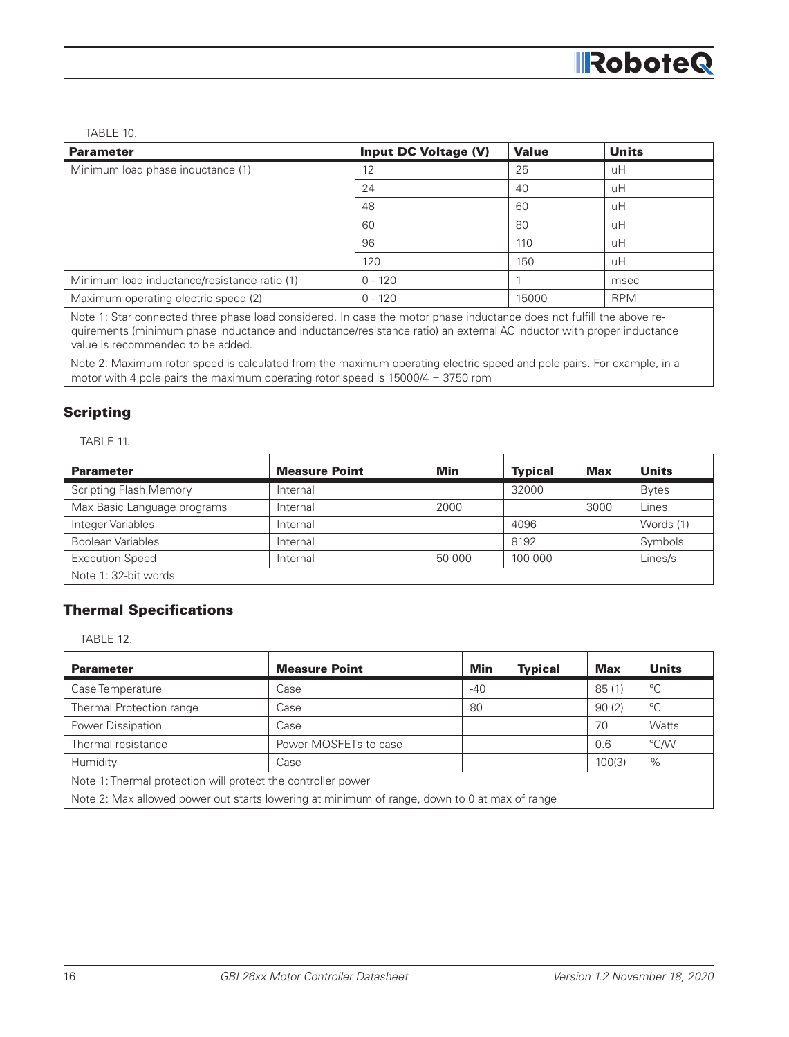TABLE 10.

| <b>Parameter</b>                             | <b>Input DC Voltage (V)</b> | <b>Value</b> | <b>Units</b> |
|----------------------------------------------|-----------------------------|--------------|--------------|
| Minimum load phase inductance (1)            | 12                          | 25           | uH           |
|                                              | 24                          | 40           | uH           |
|                                              | 48                          | 60           | uH           |
|                                              | 60                          | 80           | uH           |
|                                              | 96                          | 110          | uH           |
|                                              | 120                         | 150          | uH           |
| Minimum load inductance/resistance ratio (1) | $0 - 120$                   |              | msec         |
| Maximum operating electric speed (2)         | $0 - 120$                   | 15000        | <b>RPM</b>   |

Note 1: Star connected three phase load considered. In case the motor phase inductance does not fulfill the above requirements (minimum phase inductance and inductance/resistance ratio) an external AC inductor with proper inductance value is recommended to be added.

Note 2: Maximum rotor speed is calculated from the maximum operating electric speed and pole pairs. For example, in a motor with 4 pole pairs the maximum operating rotor speed is 15000/4 = 3750 rpm

## **Scripting**

TABLE 11.

| <b>Parameter</b>              | <b>Measure Point</b> | Min    | <b>Typical</b> | <b>Max</b> | <b>Units</b> |
|-------------------------------|----------------------|--------|----------------|------------|--------------|
| <b>Scripting Flash Memory</b> | Internal             |        | 32000          |            | <b>Bytes</b> |
| Max Basic Language programs   | Internal             | 2000   |                | 3000       | Lines        |
| Integer Variables             | Internal             |        | 4096           |            | Words (1)    |
| Boolean Variables             | Internal             |        | 8192           |            | Symbols      |
| <b>Execution Speed</b>        | Internal             | 50 000 | 100 000        |            | Lines/s      |
| Note 1: 32-bit words          |                      |        |                |            |              |

### Thermal Specifications

TABLE 12.

| <b>Parameter</b>                                                                             | <b>Measure Point</b>  | Min   | <b>Typical</b> | <b>Max</b> | <b>Units</b> |
|----------------------------------------------------------------------------------------------|-----------------------|-------|----------------|------------|--------------|
| Case Temperature                                                                             | Case                  | $-40$ |                | 85(1)      | $^{\circ}C$  |
| Thermal Protection range                                                                     | Case                  | 80    |                | 90(2)      | $^{\circ}C$  |
| Power Dissipation                                                                            | Case                  |       |                | 70         | <b>Watts</b> |
| Thermal resistance                                                                           | Power MOSFETs to case |       |                | 0.6        | °C/W         |
| Humidity                                                                                     | Case                  |       |                | 100(3)     | $\%$         |
| Note 1: Thermal protection will protect the controller power                                 |                       |       |                |            |              |
| Note 2: Max allowed power out starts lowering at minimum of range, down to 0 at max of range |                       |       |                |            |              |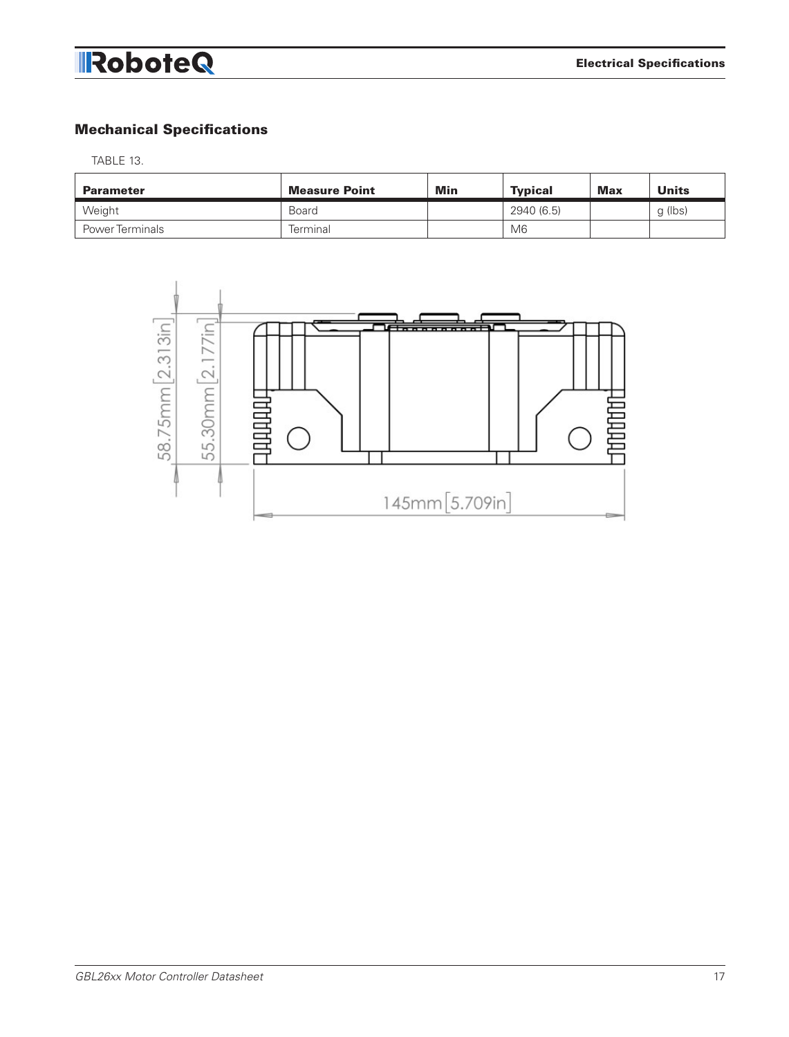# Mechanical Specifications

TABLE 13.

| <b>Parameter</b>       | <b>Measure Point</b> | Min | <b>Typical</b> | <b>Max</b> | <b>Units</b> |
|------------------------|----------------------|-----|----------------|------------|--------------|
| Weight                 | <b>Board</b>         |     | 2940 (6.5)     |            | q (lbs)      |
| <b>Power Terminals</b> | Terminal             |     | M <sub>6</sub> |            |              |